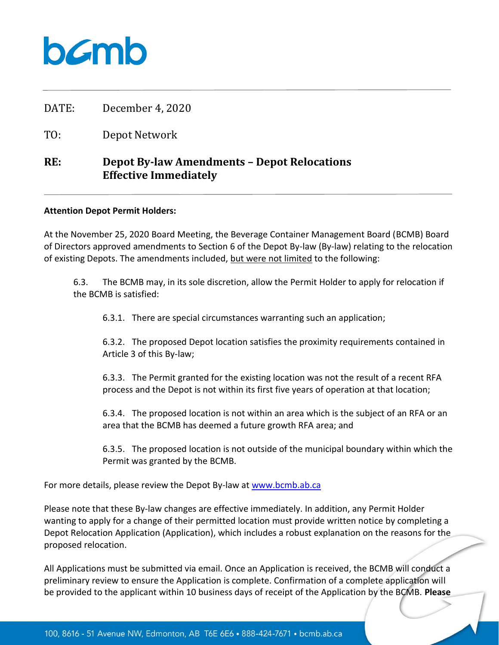

DATE: December 4, 2020

TO: Depot Network

## **RE: Depot By-law Amendments – Depot Relocations Effective Immediately**

## **Attention Depot Permit Holders:**

At the November 25, 2020 Board Meeting, the Beverage Container Management Board (BCMB) Board of Directors approved amendments to Section 6 of the Depot By-law (By-law) relating to the relocation of existing Depots. The amendments included, but were not limited to the following:

6.3. The BCMB may, in its sole discretion, allow the Permit Holder to apply for relocation if the BCMB is satisfied:

6.3.1. There are special circumstances warranting such an application;

6.3.2. The proposed Depot location satisfies the proximity requirements contained in Article 3 of this By-law;

6.3.3. The Permit granted for the existing location was not the result of a recent RFA process and the Depot is not within its first five years of operation at that location;

6.3.4. The proposed location is not within an area which is the subject of an RFA or an area that the BCMB has deemed a future growth RFA area; and

6.3.5. The proposed location is not outside of the municipal boundary within which the Permit was granted by the BCMB.

For more details, please review the Depot By-law at [www.bcmb.ab.ca](http://www.bcmb.ab.ca/)

Please note that these By-law changes are effective immediately. In addition, any Permit Holder wanting to apply for a change of their permitted location must provide written notice by completing a Depot Relocation Application (Application), which includes a robust explanation on the reasons for the proposed relocation.

All Applications must be submitted via email. Once an Application is received, the BCMB will conduct a preliminary review to ensure the Application is complete. Confirmation of a complete application will be provided to the applicant within 10 business days of receipt of the Application by the BCMB. **Please**